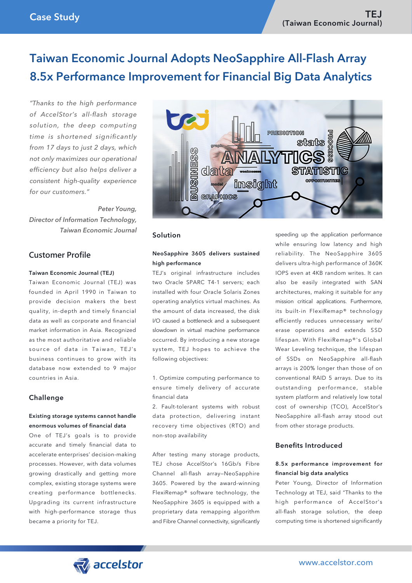# Taiwan Economic Journal Adopts NeoSapphire All-Flash Array 8.5x Performance Improvement for Financial Big Data Analytics

*"Thanks to the high performance of AccelStor's all-flash storage solution, the deep computing time is shortened significantly from 17 days to just 2 days, which not only maximizes our operational efficiency but also helps deliver a consistent high-quality experience for our customers."*

 *Peter Young, Director of Information Technology, Taiwan Economic Journal*

## **Customer Profile**

#### Taiwan Economic Journal (TEJ)

Taiwan Economic Journal (TEJ) was founded in April 1990 in Taiwan to provide decision makers the best quality, in-depth and timely financial data as well as corporate and financial market information in Asia. Recognized as the most authoritative and reliable source of data in Taiwan, TEJ's business continues to grow with its database now extended to 9 major countries in Asia.

#### Challenge

#### Existing storage systems cannot handle enormous volumes of financial data

One of TEJ's goals is to provide accurate and timely financial data to accelerate enterprises' decision-making processes. However, with data volumes growing drastically and getting more complex, existing storage systems were creating performance bottlenecks. Upgrading its current infrastructure with high-performance storage thus became a priority for TEJ.



#### Solution

#### NeoSapphire 3605 delivers sustained high performance

TEJ's original infrastructure includes two Oracle SPARC T4-1 servers; each installed with four Oracle Solaris Zones operating analytics virtual machines. As the amount of data increased, the disk I/O caused a bottleneck and a subsequent slowdown in virtual machine performance occurred. By introducing a new storage system, TEJ hopes to achieve the following objectives:

1. Optimize computing performance to ensure timely delivery of accurate financial data

2. Fault-tolerant systems with robust data protection, delivering instant recovery time objectives (RTO) and non-stop availability

After testing many storage products, TEJ chose AccelStor's 16Gb/s Fibre Channel all-flash array—NeoSapphire 3605. Powered by the award-winning FlexiRemap® software technology, the NeoSapphire 3605 is equipped with a proprietary data remapping algorithm and Fibre Channel connectivity, significantly

speeding up the application performance while ensuring low latency and high reliability. The NeoSapphire 3605 delivers ultra-high performance of 360K IOPS even at 4KB random writes. It can also be easily integrated with SAN architectures, making it suitable for any mission critical applications. Furthermore, its built-in FlexiRemap® technology efficiently reduces unnecessary write/ erase operations and extends SSD lifespan. With FlexiRemap®'s Global Wear Leveling technique, the lifespan of SSDs on NeoSapphire all-flash arrays is 200% longer than those of on conventional RAID 5 arrays. Due to its outstanding performance, stable system platform and relatively low total cost of ownership (TCO), AccelStor's NeoSapphire all-flash array stood out from other storage products.

## Benefits Introduced

#### 8.5x performance improvement for financial big data analytics

Peter Young, Director of Information Technology at TEJ, said "Thanks to the high performance of AccelStor's all-flash storage solution, the deep computing time is shortened significantly